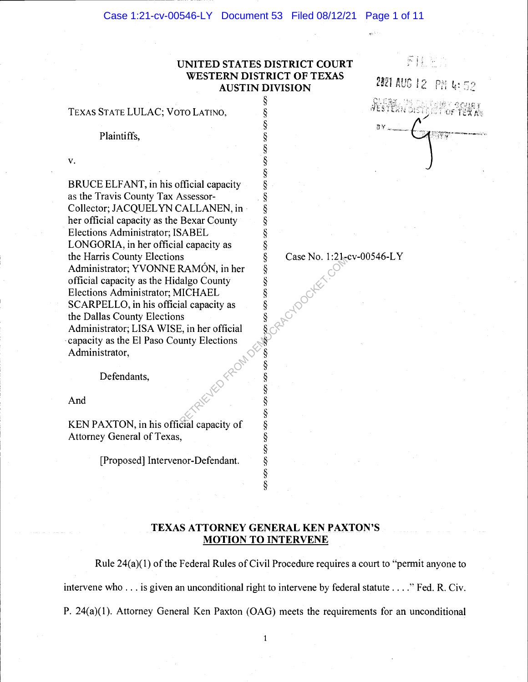### Case 1:21-cv-00546-LY Document 53 Filed 08/12/21 Page 1 of 11

# UNITED STATES DISTRICT COURT WESTERN DISTRICT OF TEXAS AUSTIN DIVISION

ş

TEXAS STATE LULAC; VoTo LATINO,

Plaintiffs,

V.

TEXAS STATE LULAC; VOTO LATINO,<br>
§<br>
Plaintiffs,<br>
§<br>
8<br>
BRUCE ELFANT, in his official capacity<br>
§<br>
as the Travis County Tax Assessor-<br>
Collector; JACQUELYN CALLANEN, in<br>
§<br>
her official capacity as the Bexar County<br>
Electio as the Travis County Tax Assessor-Collector; JACQUELYN CALLANEN, in her official capacity as the Bexar County Elections Administrator; ISABEL LONGORIA, in her official capacity as the Harris County Elections Administrator; YVONNE RAMON, in her official capacity as the Hidalgo County Elections Administrator; MICHAEL SCARPELLO, in his official capacity as the Dallas County Elections Administrator; LISA WISE, in her official capacity as the El Paso County Elections Administrator,

Defendants,

And

Administrator,<br>
Defendants,<br>
And<br>
KEN PAXTON, in his official capacity of<br>
Attorney General of Texas,<br>
[Proposed] Intervenor-Defendant.<br>
§<br>
§<br>
§<br>
§<br>
§<br>
§<br>
§ Attorney General of Texas,

[Proposed] Intervenor-Defendant.



Case No. 1:21-cv-00546-LY

CRACYDOCKET

# TEXAS ATTORNEY GENERAL KEN PAXTON'S MOTION TO INTERVENE

Rule 24(a)(1) of the Federal Rules of Civil Procedure requires a court to "permit anyone to intervene who . . . is given an unconditional right to intervene by federal statute . . . ." Fed. R. Civ. P. 24(a)(1). Attorney General Ken Paxton (OAG) meets the requirements for an unconditional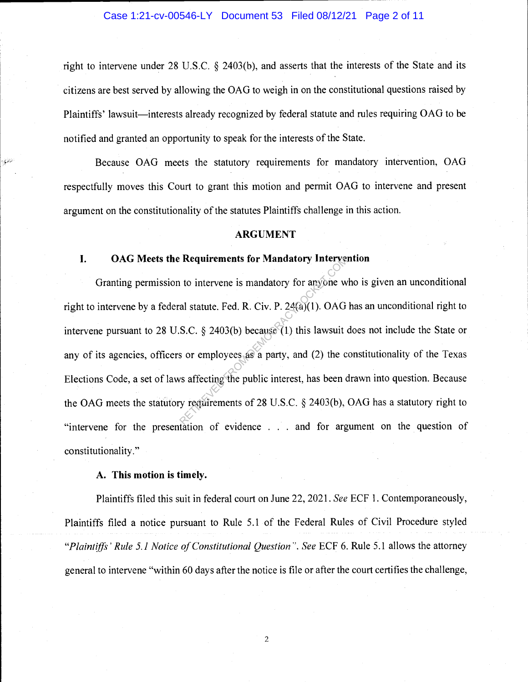right to intervene under 28 U.S.C. § 2403(b), and asserts that the interests of the State and its citizens are best served by allowing the OAG to weigh in on the constitutional questions raised by Plaintiffs' lawsuit—interests already recognized by federal statute and rules requiring OAG to be notified and granted an opportunity to speak for the interests of the State.

Because OAG meets the statutory requirements for mandatory intervention, OAG respectfully moves this Court to grant this motion and permit OAG to intervene and present argument on the constitutionality of the statutes Plaintiffs challenge in this action.

#### ARGUMENT

### I. OAG Meets the Requirements for Mandatory Intervention

Granting permission to intervene is mandatory for anyone who is given an unconditional right to intervene by a federal statute. Fed. R. Civ. P. 24(a)(l). OAG has an unconditional right to intervene pursuant to 28 U.S.C. § 2403(b) because (1) this lawsuit does not include the State or any of its agencies, officers or employees as a party, and (2) the constitutionality of the Texas Elections Code, a set of laws affecting the public interest, has been drawn into question. Because the OAG meets the statutory requirements of 28 U.S.C. § 2403(b), OAG has a statutory right to "intervene for the presentation of evidence . . . and for argument on the question of constitutionality." Requirements for Mandatory Intervents<br>to intervene is mandatory for anyone w<br>al statute. Fed. R. Civ. P. 24(a)(1). OAG<br>S.C. § 2403(b) because (1) this lawsuit of<br>sore employees as a party, and (2) the c<br>s affecting the pu

### A. This motion is timely.

 $\mathcal{L}^{(2)}$ 

Plaintiffs filed this suit in federal court on June 22, 2021. See ECF 1. Contemporaneously, Plaintiffs filed a notice pursuant to Rule 5.1 of the Federal Rules of Civil Procedure styled "Plaintiffs' Rule 5.1 Notice of Constitutional Question". See ECF 6. Rule 5.1 allows the attorney general to intervene "within 60 days after the notice is file or after the court certifies the challenge,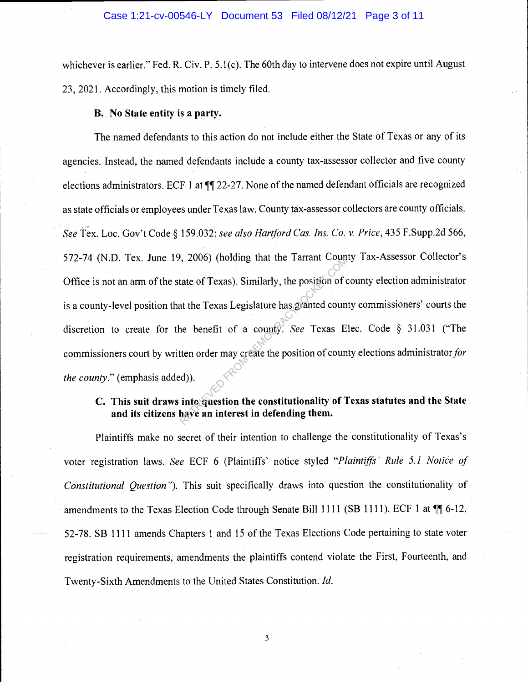whichever is earlier." Fed. R. Civ. P. 5.1(c). The 60th day to intervene does not expire until August 23, 2021. Accordingly, this motion is timely filed.

#### B. No State entity is a party.

The named defendants to this action do not include either the State of Texas or any of its agencies. Instead, the named defendants include a county tax-assessor collector and five county elections administrators. ECF 1 at ¶ 22-27. None of the named defendant officials are recognized as state officials or employees under Texas law. County tax-assessor collectors are county officials. See Tex. Loc. Gov't Code § 159.032; see also Hartford Cas. Ins. Co. v. Price, 435 F.Supp.2d 566, 572-74 (N.D. Tex. June 19, 2006) (holding that the Tarrant County Tax-Assessor Collector's Office is not an arm of the state of Texas). Similarly, the position of county election administrator is a county-level position that the Texas Legislature has granted county commissioners' courts the discretion to create for the benefit of a county. See Texas Elec. Code § 31.031 ("The commissioners court by written order may create the position of county elections administrator for the county." (emphasis added)).  $(2000)$  (notaing that the Tariant Count<br>tate of Texas). Similarly, the position of count<br>at the Texas Legislature has granted count<br>ne benefit of a county. See Texas E<br>tten order may create the position of count<br>d)).<br>int

# C. This suit draws into question the constitutionality of Texas statutes and the State and its citizens have an interest in defending them.

Plaintiffs make no secret of their intention to challenge the constitutionality of Texas's voter registration laws. See ECF 6 (Plaintiffs' notice styled "Plaintiffs' Rule 5.1 Notice of Constitutional Question "). This suit specifically draws into question the constitutionality of amendments to the Texas Election Code through Senate Bill 1111 (SB 1111). ECF 1 at  $\P$  6-12, 52-78. SB 1111 amends Chapters 1 and 15 of the Texas Elections Code pertaining to state voter registration requirements, amendments the plaintiffs contend violate the First, Fourteenth, and Twenty-Sixth Amendments to the United States Constitution. Id.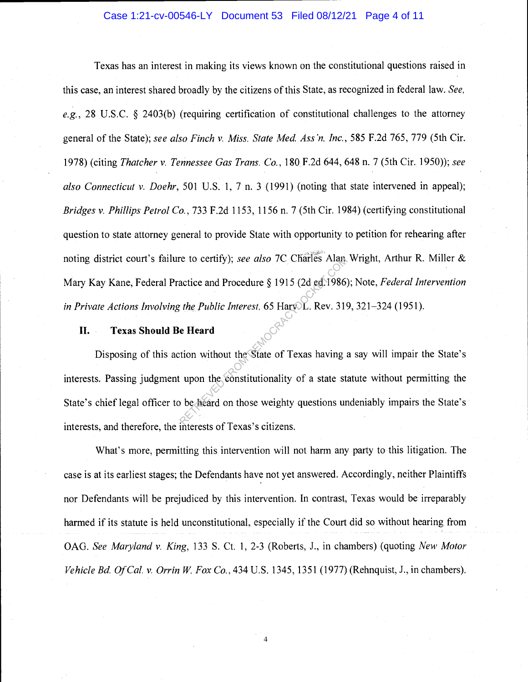### Case 1:21-cv-00546-LY Document 53 Filed 08/12/21 Page 4 of 11

Texas has an interest in making its views known on the constitutional questions raised in this case, an interest shared broadly by the citizens of this State, as recognized in federal law. See, e.g., 28 U.S.C. § 2403(b) (requiring certification of constitutional challenges to the attorney general of the State); see also Finch v. Miss. State Med. Ass 'n, Inc., 585 F.2d 765, 779 (5th Cir. 1978) (citing Thatcher v. Tennessee Gas Trans. Co., 180 F.2d 644, 648 n. 7 (5th Cir. 1950)); see also Connecticut v. Doehr, 501 U.S. 1, 7 n. 3 (1991) (noting that state intervened in appeal); Bridges v. Phillips Petrol Co., 733 F.2d 1153, 1156 n. 7 (5th Cir. 1984) (certifying constitutional question to state attorney general to provide State with opportunity to petition for rehearing after noting district court's failure to certify); see also 7C Charles Alan Wright, Arthur R. Miller & Mary Kay Kane, Federal Practice and Procedure § 1915 (2d ed. 1986); Note, Federal Intervention in Private Actions Involving the Public Interest, 65 Harv. L. Rev. 319, 321–324 (1951).

### II. Texas Should Be Heard

Disposing of this action without the State of Texas having a say will impair the State's interests. Passing judgment upon the constitutionality of a state statute without permitting the State's chief legal officer to be heard on those weighty questions undeniably impairs the State's interests, and therefore, the interests of Texas's citizens. re to certify); see also /C Charles Alan.<br>
actice and Procedure § 1915 (2d ed.1986)<br>
the Public Interest, 65 Harve L. Rev. 319<br> **Example FROM DEMOCRACY CONSECTANCE CONSECTANCE SECTABLE SECTABLE SECTABLE SECTABLE SECTABLE S** 

What's more, permitting this intervention will not harm any party to this litigation. The case is at its earliest stages; the Defendants have not yet answered. Accordingly, neither Plaintiffs nor Defendants will be prejudiced by this intervention. In contrast, Texas would be irreparably harmed if its statute is held unconstitutional, especially if the Court did so without hearing from OAG. See Maryland v. King, 133 S. Ct. 1, 2-3 (Roberts, J., in chambers) (quoting New Motor Vehicle Bd. Of Cal. v. Orrin W. Fox Co., 434 U.S. 1345, 1351 (1977) (Rehnquist, J., in chambers).

4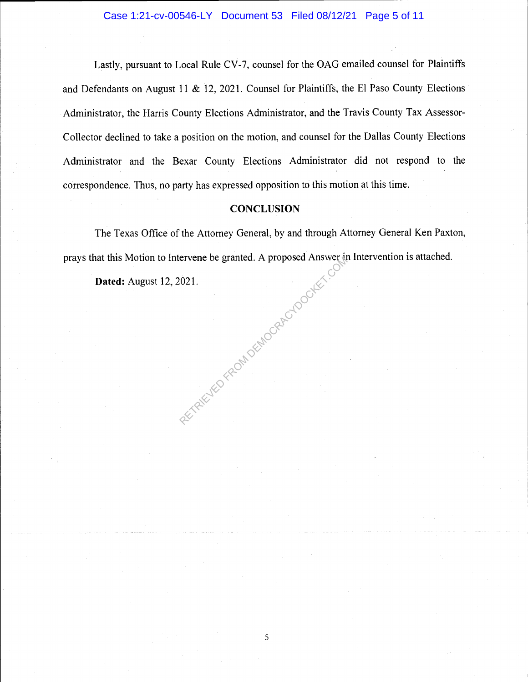Lastly, pursuant to Local Rule CV-7, counsel for the OAG emailed counsel for Plaintiffs and Defendants on August 11 & 12, 2021. Counsel for Plaintiffs, the El Paso County Elections Administrator, the Harris County Elections Administrator, and the Travis County Tax Assessor-Collector declined to take a position on the motion, and counsel for the Dallas County Elections Administrator and the Bexar County Elections Administrator did not respond to the correspondence. Thus, no party has expressed opposition to this motion at this time.

# **CONCLUSION**

The Texas Office of the Attorney General, by and through Attorney General Ken Paxton, prays that this Motion to Intervene be granted. A proposed Answer in Intervention is attached. wer with the production of the Chocker.com

Dated: August 12, 2021.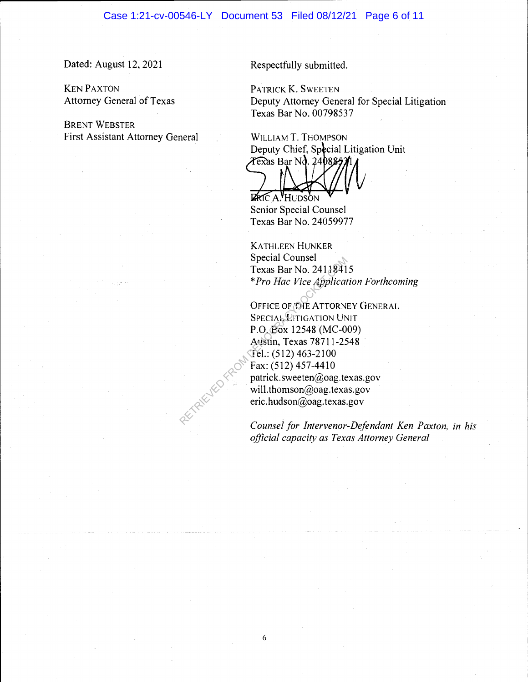Dated: August 12, 2021

KEN PAXTON Attorney General of Texas

BRENT WEBSTER First Assistant Attorney General Respectfully submitted.

PATRICK K. SWEETEN Deputy Attorney General for Special Litigation Texas Bar No. 00798537

WILLIAM T. THOMPSON Deputy Chief, Special Litigation Unit as BarN . 4 8

**ERIC A. HUDSON** 

Senior Special Counsel Texas Bar No. 24059977

KATHLEEN HUNKER Special Counsel Texas Bar No. 24118415 \*pro Hac Vice Application Forthcoming

OFFICE OF THE ATTORNEY GENERAL SPECIAL LITIGATION UNIT P.O. Box 12548 (MC-009) Austin, Texas 78711-2548 Tel.: (512) 463-2100 Fax: (512) 457-4410 patrick.sweeten@oag.texas.gov will.thomson@oag.texas.gov eric.hudson@oag.texas.gov Special Counsel<br>Texas Bar No. 2411841<br>\**Pro Hac Vice Applicat*<br>OFFICE OF THE ATTORNI<br>SPECIAL LITIGATION UN<br>P.O. Box 12548 (MC-00<br>Austin, Texas 78711-25<br>Tel.: (512) 463-2100<br>Fax: (512) 457-4410<br>patrick.sweeten@oag.texa<br>eric

Counsel for Intervenor-Defendant Ken Paxton, in his official capacity as Texas Attorney General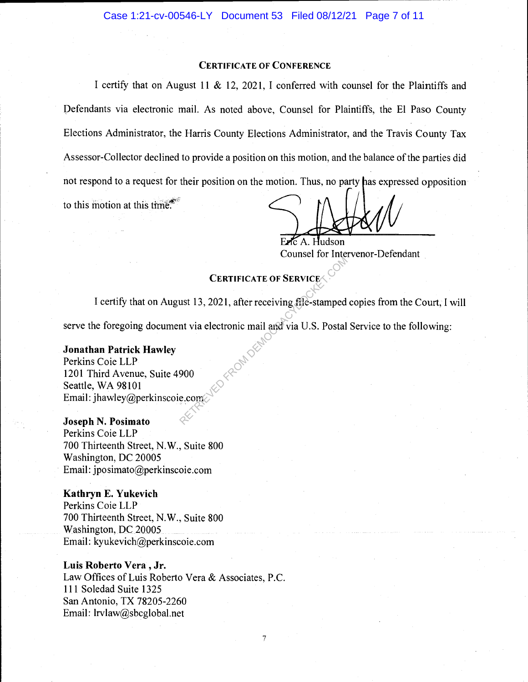#### CERTIFICATE OF CONFERENCE

I certify that on August 11 & 12, 2021, 1 conferred with counsel for the Plaintiffs and Defendants via electronic mail. As noted above, Counsel for Plaintiffs, the El Paso County Elections Administrator, the Harris County Elections Administrator, and the Travis County Tax Assessor-Collector declined to provide a position on this motion, and the balance of the parties did not respond to a request for their position on the motion. Thus, no party has expressed opposition to this motion at this time.

 $E\n *A*$ . Hudson

Counsel for Intervenor-Defendant

# CERTIFICATE OF SERVICE

<sup>I</sup>certify that on August 13, 2021, after receiving file-stamped copies from the Court, I will

serve the foregoing document via electronic mail and via U.S. Postal Service to the following:

### Jonathan Patrick Hawley

Perkins Coie LLP 1201 Third Avenue, Suite 4900 Seattle, WA 98101 Email: jhawley@perkinscoie.com ED FROM DE

#### Joseph N. Posimato

Perkins Coie LLP 700 Thirteenth Street, N.W., Suite 800 Washington, DC 20005 Email: jposimato@perkinscoie.com

# Kathryn E. Yukevich

Perkins Coie LLP 700 Thirteenth Street, N.W., Suite 800 Washington, DC 20005 Email: kyukevich@perkinscoie.com

### Luis Roberto Vera , Jr.

Law Offices of Luis Roberto Vera & Associates, P.C. 111 Soledad Suite 1325 San Antonio, TX 78205-2260 Email: lrvlaw@sbcglobal.net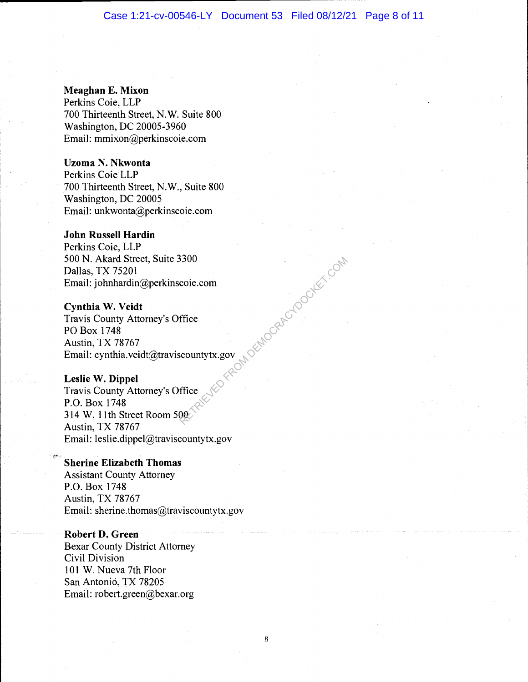### Case 1:21-cv-00546-LY Document 53 Filed 08/12/21 Page 8 of 11

# Meaghan E. Mixon

Perkins Coie, LLP 700 Thirteenth Street, N.W. Suite 800 Washington, DC 20005-3960 Email: mmixon@perkinscoie.com

### Uzoma N. Nkwonta

Perkins Coie LLP 700 Thirteenth Street, N.W., Suite 800 Washington, DC 20005 Email: unkwonta@perkinscoie.com

### John Russell Hardin

Perkins Coie, LLP 500 N. Akard Street, Suite 3300 Dallas, TX 75201 Email: johnhardin@perkinscoie.com

#### Cynthia W. Veidt

Travis County Attorney's Office P0 Box 1748 Austin, TX 78767 Email: cynthia.veidt@traviscountytx.gov **CAM DEMOCRACYDOCKET.COM** 

### Leslie W. Dippel

Travis County Attorney's Office P.O. Box 1748 314W. 111th Street Room 500 Austin, TX 78767 Email: leslie.dippel@traviscountytx.gov

#### Sherine Elizabeth Thomas

Assistant County Attorney P.O. Box 1748 Austin, TX 78767 Email: sherine.thomas@traviscountytx.gov

### Robert D. Green

Bexar County District Attorney Civil Division 101 W. Nueva 7th Floor San Antonio, TX 78205 Email: robert.green@bexar.org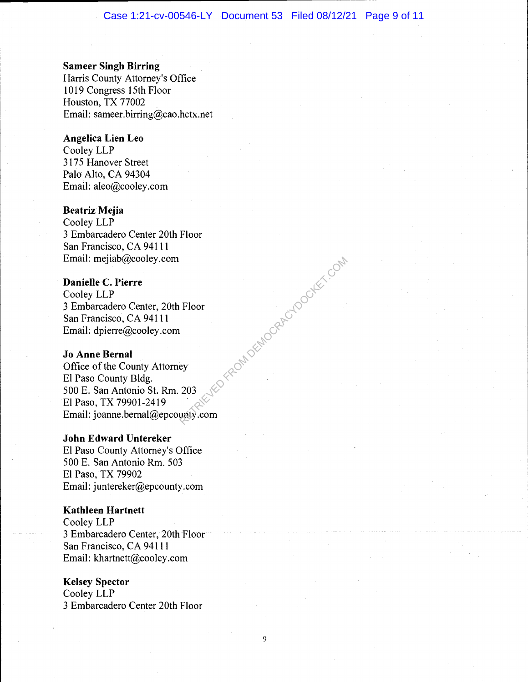### Case 1:21-cv-00546-LY Document 53 Filed 08/12/21 Page 9 of 11

### Sameer Singh Birring

Harris County Attorney's Office 1019 Congress 15th Floor Houston, TX 77002 Email: sameer.birring@cao.hctx.net

### Angelica Lien Leo

Cooley LLP 3175 Hanover Street Palo Alto, CA 94304 Email: aleo@cooley.com

### Beatriz Mejia

Cooley LLP 3 Embarcadero Center 20th Floor San Francisco, CA 94111 Email: mejiab@cooley.com

# Danielle C. Pierre

Cooley LLP 3 Embarcadero Center, 20th Floor San Francisco, CA 94111 Email: dpierre@cooley.com

### J0 Anne Bernal

Office of the County Attorney El Paso County Bldg. 500 E. San Antonio St. Rm. 203 El Paso, TX 79901-2419 Email: joanne.bernal@epcounty.com El Francisco Front Company

# John Edward Untereker

El Paso County Attorney's Office 500 E. San Antonio Rm. 503 El Paso, TX 79902 Email: juntereker@epcounty.com

#### Kathleen Hartnett

Cooley LLP 3 Embarcadero Center, 20th Floor San Francisco, CA 94111 Email: khartnett@cooley.com

#### Kelsey Spector

Cooley LLP 3 Embarcadero Center 20th Floor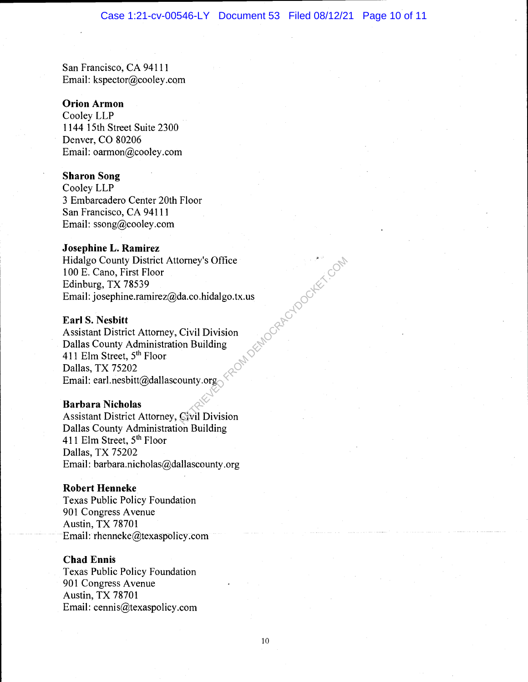San Francisco, CA 94111 Email: kspector@cooley.com

### Orion Armon

Cooley LLP 1144 15th Street Suite 2300 Denver, CO 80206 Email: oarmon@cooiey.com

### Sharon Song

Cooley LLP 3 Embarcadero Center 20th Floor San Francisco, CA 94111 Email: ssong@cooley.com

### Josephine L. Ramirez

Hidalgo County District Attorney's Office 100 E. Cano, First Floor Edinburg, TX 78539 Email: josephine.ramirez@da.co.hidalgo.tx.us , FROM DEMOCRACYDOCKET.COM

#### Earl S. Nesbitt

Assistant District Attorney, Civil Division Dallas County Administration Building 411 Elm Street, 5<sup>th</sup> Floor Dallas, TX 75202 Email: earl.nesbitt@dallascounty.org

### Barbara Nicholas

Assistant District Attorney, Civil Division Dallas County Administration Building 411 Elm Street, 5<sup>th</sup> Floor Dallas, TX 75202 Email: barbara.nicholas@dallascounty.org

#### Robert Henneke

Texas Public Policy Foundation 901 Congress Avenue Austin, TX 78701 Email: rhenneke@texaspolicy.com

### Chad Ennis

Texas Public Policy Foundation 901 Congress Avenue Austin, TX 78701 Email: cennis@texaspolicy.com